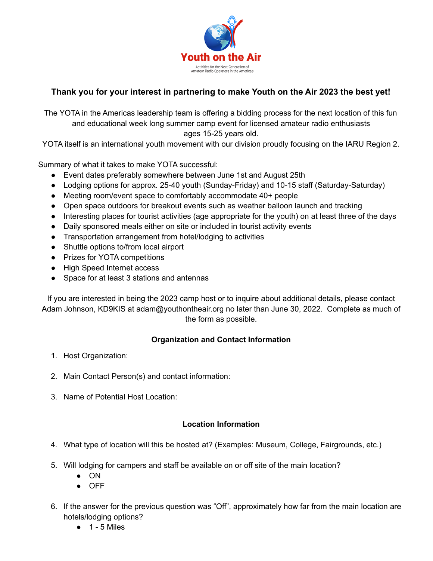

## **Thank you for your interest in partnering to make Youth on the Air 2023 the best yet!**

The YOTA in the Americas leadership team is offering a bidding process for the next location of this fun and educational week long summer camp event for licensed amateur radio enthusiasts ages 15-25 years old.

YOTA itself is an international youth movement with our division proudly focusing on the IARU Region 2.

Summary of what it takes to make YOTA successful:

- Event dates preferably somewhere between June 1st and August 25th
- Lodging options for approx. 25-40 youth (Sunday-Friday) and 10-15 staff (Saturday-Saturday)
- Meeting room/event space to comfortably accommodate 40+ people
- Open space outdoors for breakout events such as weather balloon launch and tracking
- Interesting places for tourist activities (age appropriate for the youth) on at least three of the days
- Daily sponsored meals either on site or included in tourist activity events
- Transportation arrangement from hotel/lodging to activities
- Shuttle options to/from local airport
- Prizes for YOTA competitions
- High Speed Internet access
- Space for at least 3 stations and antennas

If you are interested in being the 2023 camp host or to inquire about additional details, please contact Adam Johnson, KD9KIS at adam@youthontheair.org no later than June 30, 2022. Complete as much of the form as possible.

## **Organization and Contact Information**

- 1. Host Organization:
- 2. Main Contact Person(s) and contact information:
- 3. Name of Potential Host Location:

## **Location Information**

- 4. What type of location will this be hosted at? (Examples: Museum, College, Fairgrounds, etc.)
- 5. Will lodging for campers and staff be available on or off site of the main location?
	- ON
	- OFF
- 6. If the answer for the previous question was "Off", approximately how far from the main location are hotels/lodging options?
	- $\bullet$  1 5 Miles